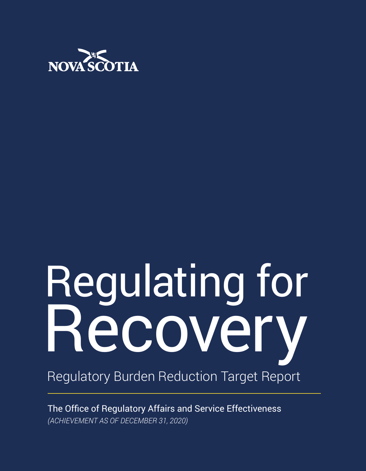

# Regulating for Recovery Regulatory Burden Reduction Target Report

The Office of Regulatory Affairs and Service Effectiveness *(ACHIEVEMENT AS OF DECEMBER 31, 2020)*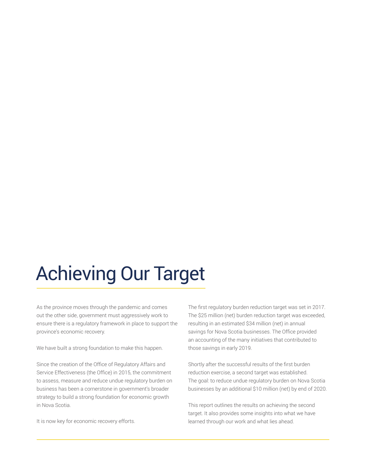## Achieving Our Target

As the province moves through the pandemic and comes out the other side, government must aggressively work to ensure there is a regulatory framework in place to support the province's economic recovery.

We have built a strong foundation to make this happen.

Since the creation of the Office of Regulatory Affairs and Service Effectiveness (the Office) in 2015, the commitment to assess, measure and reduce undue regulatory burden on business has been a cornerstone in government's broader strategy to build a strong foundation for economic growth in Nova Scotia.

It is now key for economic recovery efforts.

The first regulatory burden reduction target was set in 2017. The \$25 million (net) burden reduction target was exceeded, resulting in an estimated \$34 million (net) in annual savings for Nova Scotia businesses. The Office provided an accounting of the many initiatives that contributed to those savings in early 2019.

Shortly after the successful results of the first burden reduction exercise, a second target was established. The goal: to reduce undue regulatory burden on Nova Scotia businesses by an additional \$10 million (net) by end of 2020.

This report outlines the results on achieving the second target. It also provides some insights into what we have learned through our work and what lies ahead.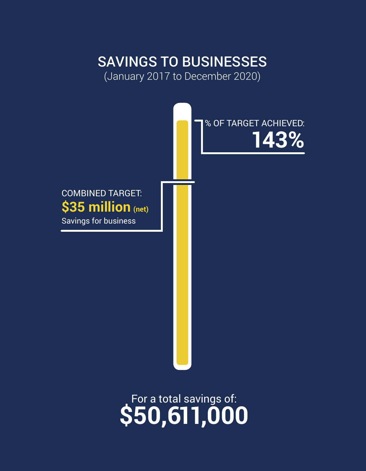## SAVINGS TO BUSINESSES

(January 2017 to December 2020)



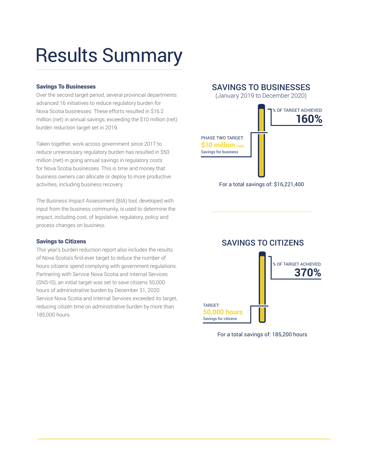## Results Summary

#### Savings To Businesses

Over the second target period, several provincial departments advanced 16 initiatives to reduce regulatory burden for Nova Scotia businesses. These efforts resulted in \$16.2 million (net) in annual savings; exceeding the \$10 million (net) burden reduction target set in 2019.

Taken together, work across government since 2017 to reduce unnecessary regulatory burden has resulted in \$50 million (net) in going annual savings in regulatory costs for Nova Scotia businesses. This is time and money that business owners can allocate or deploy to more productive activities, including business recovery.

The Business Impact Assessment (BIA) tool, developed with input from the business community, is used to determine the impact, including cost, of legislative, regulatory, policy and process changes on business.

#### Savings to Citizens

This year's burden reduction report also includes the results of Nova Scotia's first-ever target to reduce the number of hours citizens spend complying with government regulations. Partnering with Service Nova Scotia and Internal Services (SNS-IS), an initial target was set to save citizens 50,000 hours of administrative burden by December 31, 2020. Service Nova Scotia and Internal Services exceeded its target, reducing citizen time on administrative burden by more than 185,000 hours.

SAVINGS TO BUSINESSES

(January 2019 to December 2020)



For a total savings of: \$16,221,400



For a total savings of: 185,200 hours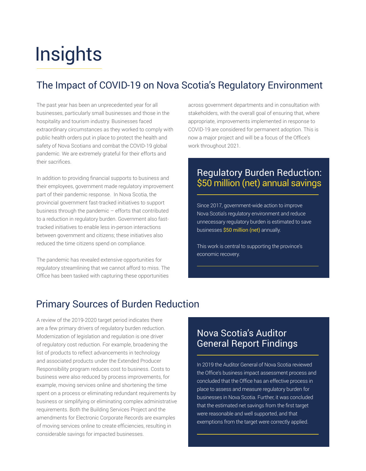## **Insights**

### The Impact of COVID-19 on Nova Scotia's Regulatory Environment

The past year has been an unprecedented year for all businesses, particularly small businesses and those in the hospitality and tourism industry. Businesses faced extraordinary circumstances as they worked to comply with public health orders put in place to protect the health and safety of Nova Scotians and combat the COVID-19 global pandemic. We are extremely grateful for their efforts and their sacrifices.

In addition to providing financial supports to business and their employees, government made regulatory improvement part of their pandemic response. In Nova Scotia, the provincial government fast-tracked initiatives to support business through the pandemic – efforts that contributed to a reduction in regulatory burden. Government also fasttracked initiatives to enable less in-person interactions between government and citizens; these initiatives also reduced the time citizens spend on compliance.

The pandemic has revealed extensive opportunities for regulatory streamlining that we cannot afford to miss. The Office has been tasked with capturing these opportunities

across government departments and in consultation with stakeholders, with the overall goal of ensuring that, where appropriate, improvements implemented in response to COVID-19 are considered for permanent adoption. This is now a major project and will be a focus of the Office's work throughout 2021.

### Regulatory Burden Reduction: \$50 million (net) annual savings

Since 2017, government-wide action to improve Nova Scotia's regulatory environment and reduce unnecessary regulatory burden is estimated to save businesses \$50 million (net) annually.

This work is central to supporting the province's economic recovery.

### Primary Sources of Burden Reduction

A review of the 2019-2020 target period indicates there are a few primary drivers of regulatory burden reduction. Modernization of legislation and regulation is one driver of regulatory cost reduction. For example, broadening the list of products to reflect advancements in technology and associated products under the Extended Producer Responsibility program reduces cost to business. Costs to business were also reduced by process improvements, for example, moving services online and shortening the time spent on a process or eliminating redundant requirements by business or simplifying or eliminating complex administrative requirements. Both the Building Services Project and the amendments for Electronic Corporate Records are examples of moving services online to create efficiencies, resulting in considerable savings for impacted businesses.

### Nova Scotia's Auditor General Report Findings

In 2019 the Auditor General of Nova Scotia reviewed the Office's business impact assessment process and concluded that the Office has an effective process in place to assess and measure regulatory burden for businesses in Nova Scotia. Further, it was concluded that the estimated net savings from the first target were reasonable and well supported, and that exemptions from the target were correctly applied.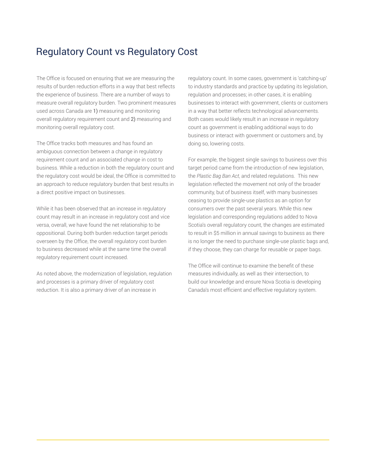### Regulatory Count vs Regulatory Cost

The Office is focused on ensuring that we are measuring the results of burden reduction efforts in a way that best reflects the experience of business. There are a number of ways to measure overall regulatory burden. Two prominent measures used across Canada are 1) measuring and monitoring overall regulatory requirement count and 2) measuring and monitoring overall regulatory cost.

The Office tracks both measures and has found an ambiguous connection between a change in regulatory requirement count and an associated change in cost to business. While a reduction in both the regulatory count and the regulatory cost would be ideal, the Office is committed to an approach to reduce regulatory burden that best results in a direct positive impact on businesses.

While it has been observed that an increase in regulatory count may result in an increase in regulatory cost and vice versa, overall, we have found the net relationship to be oppositional. During both burden reduction target periods overseen by the Office, the overall regulatory cost burden to business decreased while at the same time the overall regulatory requirement count increased.

As noted above, the modernization of legislation, regulation and processes is a primary driver of regulatory cost reduction. It is also a primary driver of an increase in

regulatory count. In some cases, government is 'catching-up' to industry standards and practice by updating its legislation, regulation and processes; in other cases, it is enabling businesses to interact with government, clients or customers in a way that better reflects technological advancements. Both cases would likely result in an increase in regulatory count as government is enabling additional ways to do business or interact with government or customers and, by doing so, lowering costs.

For example, the biggest single savings to business over this target period came from the introduction of new legislation, the *Plastic Bag Ban Act*, and related regulations. This new legislation reflected the movement not only of the broader community, but of business itself, with many businesses ceasing to provide single-use plastics as an option for consumers over the past several years. While this new legislation and corresponding regulations added to Nova Scotia's overall regulatory count, the changes are estimated to result in \$5 million in annual savings to business as there is no longer the need to purchase single-use plastic bags and, if they choose, they can charge for reusable or paper bags.

The Office will continue to examine the benefit of these measures individually, as well as their intersection, to build our knowledge and ensure Nova Scotia is developing Canada's most efficient and effective regulatory system.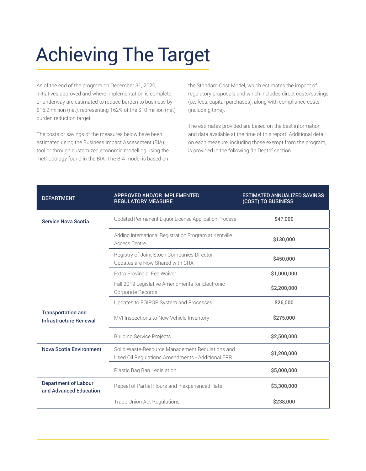## Achieving The Target

As of the end of the program on December 31, 2020, initiatives approved and where implementation is complete or underway are estimated to reduce burden to business by \$16.2 million (net), representing 162% of the \$10 million (net) burden reduction target.

The costs or savings of the measures below have been estimated using the Business Impact Assessment (BIA) tool or through customized economic modelling using the methodology found in the BIA. The BIA model is based on

the Standard Cost Model, which estimates the impact of regulatory proposals and which includes direct costs/savings (i.e. fees, capital purchases), along with compliance costs (including time).

The estimates provided are based on the best information and data available at the time of this report. Additional detail on each measure, including those exempt from the program, is provided in the following "In Depth" section.

| <b>DEPARTMENT</b>                                          | <b>APPROVED AND/OR IMPLEMENTED</b><br><b>REGULATORY MEASURE</b>                                     | <b>ESTIMATED ANNUALIZED SAVINGS</b><br>(COST) TO BUSINESS |
|------------------------------------------------------------|-----------------------------------------------------------------------------------------------------|-----------------------------------------------------------|
| <b>Service Nova Scotia</b>                                 | Updated Permanent Liquor License Application Process                                                | \$47,000                                                  |
|                                                            | Adding International Registration Program at Kentville<br>Access Centre                             | \$130,000                                                 |
|                                                            | Registry of Joint Stock Companies Director<br>Updates are Now Shared with CRA                       | \$450,000                                                 |
|                                                            | Extra Provincial Fee Waiver                                                                         | \$1,000,000                                               |
|                                                            | Fall 2019 Legislative Amendments for Electronic<br>Corporate Records                                | \$2,200,000                                               |
|                                                            | Updates to FOIPOP System and Processes                                                              | \$26,000                                                  |
| <b>Transportation and</b><br><b>Infrastructure Renewal</b> | MVI Inspections to New Vehicle Inventory                                                            | \$275,000                                                 |
|                                                            | <b>Building Service Projects</b>                                                                    | \$2,500,000                                               |
| <b>Nova Scotia Environment</b>                             | Solid Waste-Resource Management Regulations and<br>Used Oil Regulations Amendments - Additional EPR | \$1,200,000                                               |
|                                                            | Plastic Bag Ban Legislation                                                                         | \$5,000,000                                               |
| <b>Department of Labour</b><br>and Advanced Education      | Repeal of Partial Hours and Inexperienced Rate                                                      | \$3,300,000                                               |
|                                                            | Trade Union Act Regulations                                                                         | \$238,000                                                 |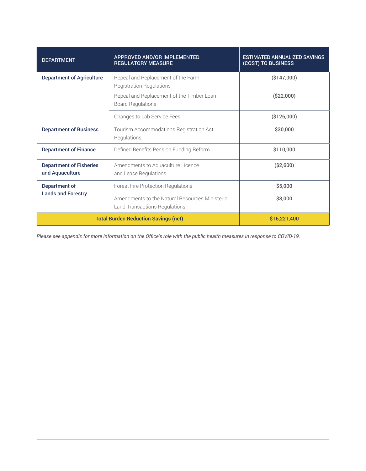| <b>DEPARTMENT</b>                                 | <b>APPROVED AND/OR IMPLEMENTED</b><br><b>REGULATORY MEASURE</b>                  | <b>ESTIMATED ANNUALIZED SAVINGS</b><br>(COST) TO BUSINESS |
|---------------------------------------------------|----------------------------------------------------------------------------------|-----------------------------------------------------------|
| <b>Department of Agriculture</b>                  | Repeal and Replacement of the Farm<br><b>Registration Regulations</b>            | (\$147,000)                                               |
|                                                   | Repeal and Replacement of the Timber Loan<br><b>Board Regulations</b>            | (\$22,000)                                                |
|                                                   | Changes to Lab Service Fees                                                      | (\$126,000)                                               |
| <b>Department of Business</b>                     | Tourism Accommodations Registration Act<br>Regulations                           | \$30,000                                                  |
| <b>Department of Finance</b>                      | Defined Benefits Pension Funding Reform                                          | \$110,000                                                 |
| <b>Department of Fisheries</b><br>and Aquaculture | Amendments to Aquaculture Licence<br>and Lease Regulations                       | ( \$2,600)                                                |
| Department of<br><b>Lands and Forestry</b>        | Forest Fire Protection Regulations                                               | \$5,000                                                   |
|                                                   | Amendments to the Natural Resources Ministerial<br>Land Transactions Regulations | \$8,000                                                   |
| <b>Total Burden Reduction Savings (net)</b>       |                                                                                  | \$16,221,400                                              |

*Please see appendix for more information on the Office's role with the public health measures in response to COVID-19.*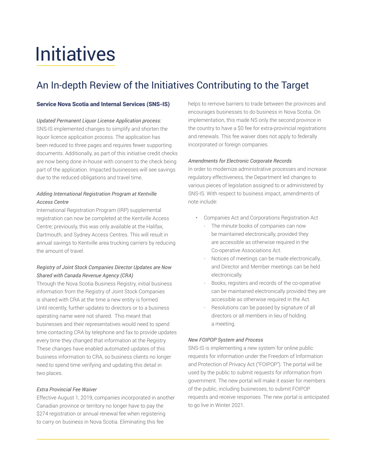## Initiatives

### An In-depth Review of the Initiatives Contributing to the Target

#### Service Nova Scotia and Internal Services (SNS-IS)

#### *Updated Permanent Liquor License Application process:*

SNS-IS implemented changes to simplify and shorten the liquor licence application process. The application has been reduced to three pages and requires fewer supporting documents. Additionally, as part of this initiative credit checks are now being done in-house with consent to the check being part of the application. Impacted businesses will see savings due to the reduced obligations and travel time.

#### *Adding International Registration Program at Kentville Access Centre*

International Registration Program (IRP) supplemental registration can now be completed at the Kentville Access Centre; previously, this was only available at the Halifax, Dartmouth, and Sydney Access Centres. This will result in annual savings to Kentville area trucking carriers by reducing the amount of travel.

#### *Registry of Joint Stock Companies Director Updates are Now Shared with Canada Revenue Agency (CRA)*

Through the Nova Scotia Business Registry, initial business information from the Registry of Joint Stock Companies is shared with CRA at the time a new entity is formed. Until recently, further updates to directors or to a business operating name were not shared. This meant that businesses and their representatives would need to spend time contacting CRA by telephone and fax to provide updates every time they changed that information at the Registry. These changes have enabled automated updates of this business information to CRA, so business clients no longer need to spend time verifying and updating this detail in two places.

#### *Extra Provincial Fee Waiver*

Effective August 1, 2019, companies incorporated in another Canadian province or territory no longer have to pay the \$274 registration or annual renewal fee when registering to carry on business in Nova Scotia. Eliminating this fee

helps to remove barriers to trade between the provinces and encourages businesses to do business in Nova Scotia. On implementation, this made NS only the second province in the country to have a \$0 fee for extra-provincial registrations and renewals. This fee waiver does not apply to federally incorporated or foreign companies.

#### *Amendments for Electronic Corporate Records*

In order to modernize administrative processes and increase regulatory effectiveness, the Department led changes to various pieces of legislation assigned to or administered by SNS-IS. With respect to business impact, amendments of note include:

- Companies Act and Corporations Registration Act
	- The minute books of companies can now be maintained electronically, provided they are accessible as otherwise required in the Co-operative Associations Act.
	- Notices of meetings can be made electronically, and Director and Member meetings can be held electronically.
	- Books, registers and records of the co-operative can be maintained electronically provided they are accessible as otherwise required in the Act.
	- Resolutions can be passed by signature of all directors or all members in lieu of holding a meeting.

#### *New FOIPOP System and Process*

SNS-IS is implementing a new system for online public requests for information under the Freedom of Information and Protection of Privacy Act ("FOIPOP"). The portal will be used by the public to submit requests for information from government. The new portal will make it easier for members of the public, including businesses, to submit FOIPOP requests and receive responses. The new portal is anticipated to go live in Winter 2021.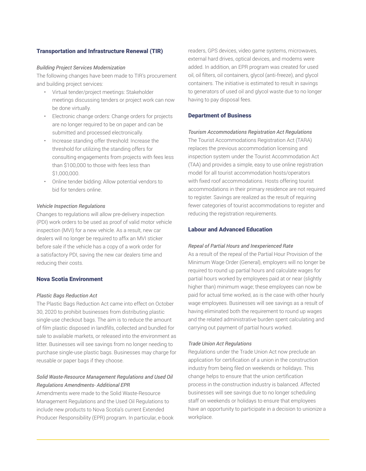#### Transportation and Infrastructure Renewal (TIR)

#### *Building Project Services Modernization*

The following changes have been made to TIR's procurement and building project services:

- Virtual tender/project meetings: Stakeholder meetings discussing tenders or project work can now be done virtually.
- Electronic change orders: Change orders for projects are no longer required to be on paper and can be submitted and processed electronically.
- Increase standing offer threshold: Increase the threshold for utilizing the standing offers for consulting engagements from projects with fees less than \$100,000 to those with fees less than \$1,000,000.
- Online tender bidding: Allow potential vendors to bid for tenders online.

#### *Vehicle Inspection Regulations*

Changes to regulations will allow pre-delivery inspection (PDI) work orders to be used as proof of valid motor vehicle inspection (MVI) for a new vehicle. As a result, new car dealers will no longer be required to affix an MVI sticker before sale if the vehicle has a copy of a work order for a satisfactory PDI, saving the new car dealers time and reducing their costs.

#### Nova Scotia Environment

#### *Plastic Bags Reduction Act*

The Plastic Bags Reduction Act came into effect on October 30, 2020 to prohibit businesses from distributing plastic single-use checkout bags. The aim is to reduce the amount of film plastic disposed in landfills, collected and bundled for sale to available markets, or released into the environment as litter. Businesses will see savings from no longer needing to purchase single-use plastic bags. Businesses may charge for reusable or paper bags if they choose.

#### *Solid Waste-Resource Management Regulations and Used Oil Regulations Amendments- Additional EPR*

Amendments were made to the Solid Waste-Resource Management Regulations and the Used Oil Regulations to include new products to Nova Scotia's current Extended Producer Responsibility (EPR) program. In particular, e-book readers, GPS devices, video game systems, microwaves, external hard drives, optical devices, and modems were added. In addition, an EPR program was created for used oil, oil filters, oil containers, glycol (anti-freeze), and glycol containers. The initiative is estimated to result in savings to generators of used oil and glycol waste due to no longer having to pay disposal fees.

#### Department of Business

#### *Tourism Accommodations Registration Act Regulations*

The Tourist Accommodations Registration Act (TARA) replaces the previous accommodation licensing and inspection system under the Tourist Accommodation Act (TAA) and provides a simple, easy to use online registration model for all tourist accommodation hosts/operators with fixed roof accommodations. Hosts offering tourist accommodations in their primary residence are not required to register. Savings are realized as the result of requiring fewer categories of tourist accommodations to register and reducing the registration requirements.

#### Labour and Advanced Education

#### *Repeal of Partial Hours and Inexperienced Rate*

As a result of the repeal of the Partial Hour Provision of the Minimum Wage Order (General), employers will no longer be required to round up partial hours and calculate wages for partial hours worked by employees paid at or near (slightly higher than) minimum wage; these employees can now be paid for actual time worked, as is the case with other hourly wage employees. Businesses will see savings as a result of having eliminated both the requirement to round up wages and the related administrative burden spent calculating and carrying out payment of partial hours worked.

#### *Trade Union Act Regulations*

Regulations under the Trade Union Act now preclude an application for certification of a union in the construction industry from being filed on weekends or holidays. This change helps to ensure that the union certification process in the construction industry is balanced. Affected businesses will see savings due to no longer scheduling staff on weekends or holidays to ensure that employees have an opportunity to participate in a decision to unionize a workplace.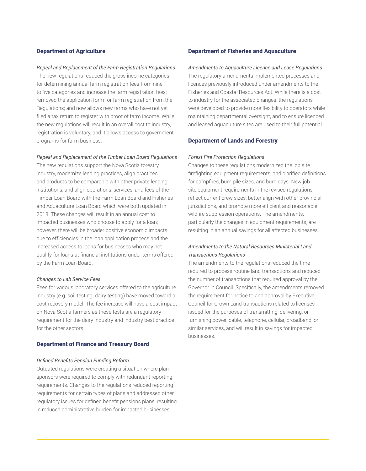#### Department of Agriculture

#### *Repeal and Replacement of the Farm Registration Regulations*

The new regulations reduced the gross income categories for determining annual farm registration fees from nine to five categories and increase the farm registration fees; removed the application form for farm registration from the Regulations; and now allows new farms who have not yet filed a tax return to register with proof of farm income. While the new regulations will result in an overall cost to industry, registration is voluntary, and it allows access to government programs for farm business.

#### *Repeal and Replacement of the Timber Loan Board Regulations*

The new regulations support the Nova Scotia forestry industry, modernize lending practices, align practices and products to be comparable with other private lending institutions, and align operations, services, and fees of the Timber Loan Board with the Farm Loan Board and Fisheries and Aquaculture Loan Board which were both updated in 2018. These changes will result in an annual cost to impacted businesses who choose to apply for a loan; however, there will be broader positive economic impacts due to efficiencies in the loan application process and the increased access to loans for businesses who may not qualify for loans at financial institutions under terms offered by the Farm Loan Board.

#### *Changes to Lab Service Fees*

Fees for various laboratory services offered to the agriculture industry (e.g. soil testing, dairy testing) have moved toward a cost-recovery model. The fee increase will have a cost impact on Nova Scotia farmers as these tests are a regulatory requirement for the dairy industry and industry best practice for the other sectors.

#### Department of Finance and Treasury Board

#### *Defined Benefits Pension Funding Reform*

Outdated regulations were creating a situation where plan sponsors were required to comply with redundant reporting requirements. Changes to the regulations reduced reporting requirements for certain types of plans and addressed other regulatory issues for defined benefit pensions plans, resulting in reduced administrative burden for impacted businesses.

#### Department of Fisheries and Aquaculture

*Amendments to Aquaculture Licence and Lease Regulations* The regulatory amendments implemented processes and licences previously introduced under amendments to the Fisheries and Coastal Resources Act. While there is a cost to industry for the associated changes, the regulations were developed to provide more flexibility to operators while maintaining departmental oversight, and to ensure licenced and leased aquaculture sites are used to their full potential.

#### Department of Lands and Forestry

#### *Forest Fire Protection Regulations*

Changes to these regulations modernized the job site firefighting equipment requirements, and clarified definitions for campfires, burn pile sizes, and burn days. New job site equipment requirements in the revised regulations reflect current crew sizes, better align with other provincial jurisdictions, and promote more efficient and reasonable wildfire suppression operations. The amendments, particularly the changes in equipment requirements, are resulting in an annual savings for all affected businesses.

#### *Amendments to the Natural Resources Ministerial Land Transactions Regulations*

The amendments to the regulations reduced the time required to process routine land transactions and reduced the number of transactions that required approval by the Governor in Council. Specifically, the amendments removed the requirement for notice to and approval by Executive Council for Crown Land transactions related to licenses issued for the purposes of transmitting, delivering, or furnishing power, cable, telephone, cellular, broadband, or similar services, and will result in savings for impacted businesses.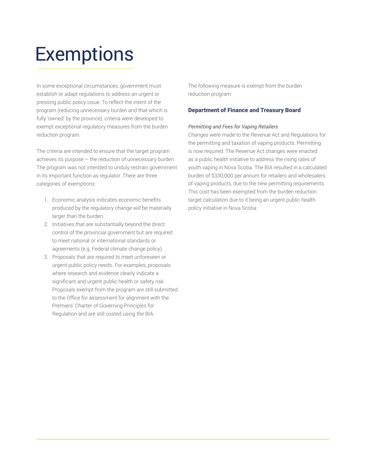## **Exemptions**

In some exceptional circumstances, government must establish or adapt regulations to address an urgent or pressing public policy issue. To reflect the intent of the program (reducing unnecessary burden and that which is fully 'owned' by the province), criteria were developed to exempt exceptional regulatory measures from the burden reduction program.

The criteria are intended to ensure that the target program achieves its purpose – the reduction of unnecessary burden. The program was not intended to unduly restrain government in its important function as regulator. There are three categories of exemptions:

- 1. Economic analysis indicates economic benefits produced by the regulatory change will be materially larger than the burden.
- 2. Initiatives that are substantially beyond the direct control of the provincial government but are required to meet national or international standards or agreements (e.g. Federal climate change policy).
- 3. Proposals that are required to meet unforeseen or urgent public policy needs. For examples, proposals where research and evidence clearly indicate a significant and urgent public health or safety risk. Proposals exempt from the program are still submitted to the Office for assessment for alignment with the Premiers' Charter of Governing Principles for Regulation and are still costed using the BIA.

The following measure is exempt from the burden reduction program:

#### Department of Finance and Treasury Board

#### *Permitting and Fees for Vaping Retailers*

Changes were made to the Revenue Act and Regulations for the permitting and taxation of vaping products. Permitting is now required. The Revenue Act changes were enacted as a public health initiative to address the rising rates of youth vaping in Nova Scotia. The BIA resulted in a calculated burden of \$330,000 per annum for retailers and wholesalers of vaping products, due to the new permitting requirements. This cost has been exempted from the burden reduction target calculation due to it being an urgent public health policy initiative in Nova Scotia.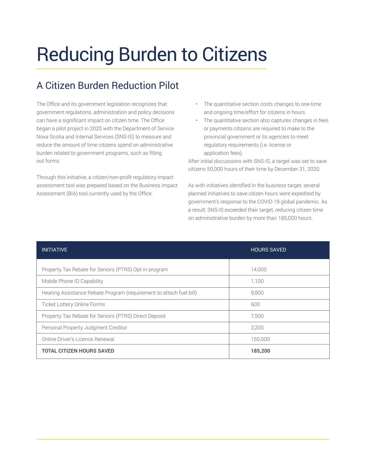## Reducing Burden to Citizens

## A Citizen Burden Reduction Pilot

The Office and its government legislation recognizes that government regulations, administration and policy decisions can have a significant impact on citizen time. The Office began a pilot project in 2020 with the Department of Service Nova Scotia and Internal Services (SNS-IS) to measure and reduce the amount of time citizens spend on administrative burden related to government programs, such as filling out forms.

Through this initiative, a citizen/non-profit regulatory impact assessment tool was prepared based on the Business Impact Assessment (BIA) tool currently used by the Office.

- The quantitative section costs changes to one-time and ongoing time/effort for citizens in hours.
- The quantitative section also captures changes in fees or payments citizens are required to make to the provincial government or its agencies to meet regulatory requirements (i.e. license or application fees).

After initial discussions with SNS-IS, a target was set to save citizens 50,000 hours of their time by December 31, 2020.

As with initiatives identified in the business target, several planned initiatives to save citizen hours were expedited by government's response to the COVID-19 global pandemic. As a result, SNS-IS exceeded their target, reducing citizen time on administrative burden by more than 185,000 hours.

| <b>INITIATIVE</b>                                                   | <b>HOURS SAVED</b> |
|---------------------------------------------------------------------|--------------------|
|                                                                     |                    |
| Property Tax Rebate for Seniors (PTRS) Opt-in program               | 14.000             |
| Mobile Phone ID Capability                                          | 1,100              |
| Heating Assistance Rebate Program (requirement to attach fuel bill) | 9.800              |
| <b>Ticket Lottery Online Forms</b>                                  | 600                |
| Property Tax Rebate for Seniors (PTRS) Direct Deposit               | 7.500              |
| Personal Property Judgment Creditor                                 | 2,200              |
| Online Driver's Licence Renewal                                     | 150,000            |
| <b>TOTAL CITIZEN HOURS SAVED</b>                                    | 185,200            |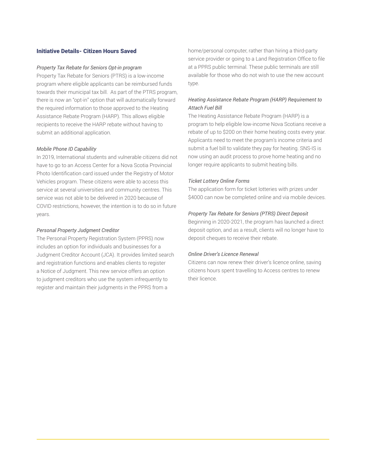#### Initiative Details- Citizen Hours Saved

#### *Property Tax Rebate for Seniors Opt-in program*

Property Tax Rebate for Seniors (PTRS) is a low-income program where eligible applicants can be reimbursed funds towards their municipal tax bill. As part of the PTRS program, there is now an "opt-in" option that will automatically forward the required information to those approved to the Heating Assistance Rebate Program (HARP). This allows eligible recipients to receive the HARP rebate without having to submit an additional application.

#### *Mobile Phone ID Capability*

In 2019, International students and vulnerable citizens did not have to go to an Access Center for a Nova Scotia Provincial Photo Identification card issued under the Registry of Motor Vehicles program. These citizens were able to access this service at several universities and community centres. This service was not able to be delivered in 2020 because of COVID restrictions, however, the intention is to do so in future years.

#### *Personal Property Judgment Creditor*

The Personal Property Registration System (PPRS) now includes an option for individuals and businesses for a Judgment Creditor Account (JCA). It provides limited search and registration functions and enables clients to register a Notice of Judgment. This new service offers an option to judgment creditors who use the system infrequently to register and maintain their judgments in the PPRS from a

home/personal computer, rather than hiring a third-party service provider or going to a Land Registration Office to file at a PPRS public terminal. These public terminals are still available for those who do not wish to use the new account type.

#### *Heating Assistance Rebate Program (HARP) Requirement to Attach Fuel Bill*

The Heating Assistance Rebate Program (HARP) is a program to help eligible low-income Nova Scotians receive a rebate of up to \$200 on their home heating costs every year. Applicants need to meet the program's income criteria and submit a fuel bill to validate they pay for heating. SNS-IS is now using an audit process to prove home heating and no longer require applicants to submit heating bills.

#### *Ticket Lottery Online Forms*

The application form for ticket lotteries with prizes under \$4000 can now be completed online and via mobile devices.

#### *Property Tax Rebate for Seniors (PTRS) Direct Deposit*

Beginning in 2020-2021, the program has launched a direct deposit option, and as a result, clients will no longer have to deposit cheques to receive their rebate.

#### *Online Driver's Licence Renewal*

Citizens can now renew their driver's licence online, saving citizens hours spent travelling to Access centres to renew their licence.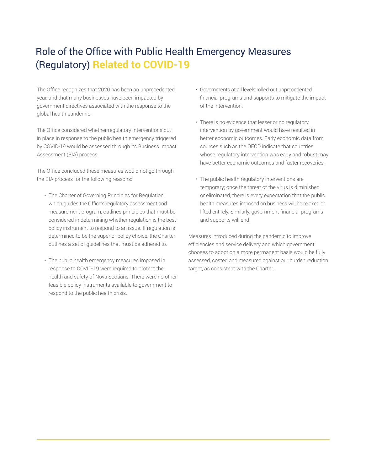## Role of the Office with Public Health Emergency Measures (Regulatory) **Related to COVID-19**

The Office recognizes that 2020 has been an unprecedented year, and that many businesses have been impacted by government directives associated with the response to the global health pandemic.

The Office considered whether regulatory interventions put in place in response to the public health emergency triggered by COVID-19 would be assessed through its Business Impact Assessment (BIA) process.

The Office concluded these measures would not go through the BIA process for the following reasons:

- The Charter of Governing Principles for Regulation, which guides the Office's regulatory assessment and measurement program, outlines principles that must be considered in determining whether regulation is the best policy instrument to respond to an issue. If regulation is determined to be the superior policy choice, the Charter outlines a set of guidelines that must be adhered to.
- The public health emergency measures imposed in response to COVID-19 were required to protect the health and safety of Nova Scotians. There were no other feasible policy instruments available to government to respond to the public health crisis.
- Governments at all levels rolled out unprecedented financial programs and supports to mitigate the impact of the intervention.
- There is no evidence that lesser or no regulatory intervention by government would have resulted in better economic outcomes. Early economic data from sources such as the OECD indicate that countries whose regulatory intervention was early and robust may have better economic outcomes and faster recoveries.
- The public health regulatory interventions are temporary; once the threat of the virus is diminished or eliminated, there is every expectation that the public health measures imposed on business will be relaxed or lifted entirely. Similarly, government financial programs and supports will end.

Measures introduced during the pandemic to improve efficiencies and service delivery and which government chooses to adopt on a more permanent basis would be fully assessed, costed and measured against our burden reduction target, as consistent with the Charter.